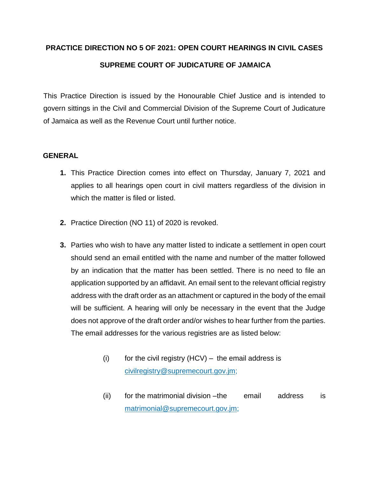# **PRACTICE DIRECTION NO 5 OF 2021: OPEN COURT HEARINGS IN CIVIL CASES SUPREME COURT OF JUDICATURE OF JAMAICA**

This Practice Direction is issued by the Honourable Chief Justice and is intended to govern sittings in the Civil and Commercial Division of the Supreme Court of Judicature of Jamaica as well as the Revenue Court until further notice.

## **GENERAL**

- **1.** This Practice Direction comes into effect on Thursday, January 7, 2021 and applies to all hearings open court in civil matters regardless of the division in which the matter is filed or listed.
- **2.** Practice Direction (NO 11) of 2020 is revoked.
- **3.** Parties who wish to have any matter listed to indicate a settlement in open court should send an email entitled with the name and number of the matter followed by an indication that the matter has been settled. There is no need to file an application supported by an affidavit. An email sent to the relevant official registry address with the draft order as an attachment or captured in the body of the email will be sufficient. A hearing will only be necessary in the event that the Judge does not approve of the draft order and/or wishes to hear further from the parties. The email addresses for the various registries are as listed below:
	- (i) for the civil registry  $(HCV)$  the email address is civilregistry@supremecourt.gov.jm;
	- (ii) for the matrimonial division –the email address is matrimonial@supremecourt.gov.jm;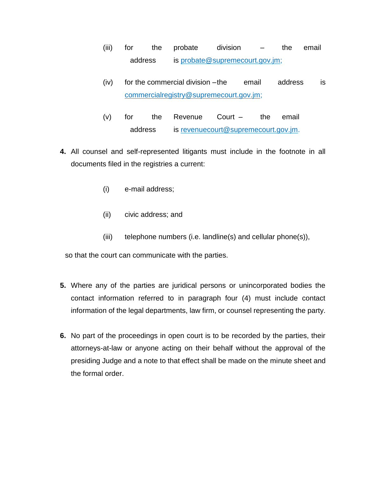- (iii) for the probate division the email address is probate@supremecourt.gov.jm;
- (iv) for the commercial division –the email address is commercialregistry@supremecourt.gov.jm;
- (v) for the Revenue Court the email address is revenuecourt@supremecourt.gov.jm.
- **4.** All counsel and self-represented litigants must include in the footnote in all documents filed in the registries a current:
	- (i) e-mail address;
	- (ii) civic address; and
	- (iii) telephone numbers (i.e. landline(s) and cellular phone(s)),

so that the court can communicate with the parties.

- **5.** Where any of the parties are juridical persons or unincorporated bodies the contact information referred to in paragraph four (4) must include contact information of the legal departments, law firm, or counsel representing the party.
- **6.** No part of the proceedings in open court is to be recorded by the parties, their attorneys-at-law or anyone acting on their behalf without the approval of the presiding Judge and a note to that effect shall be made on the minute sheet and the formal order.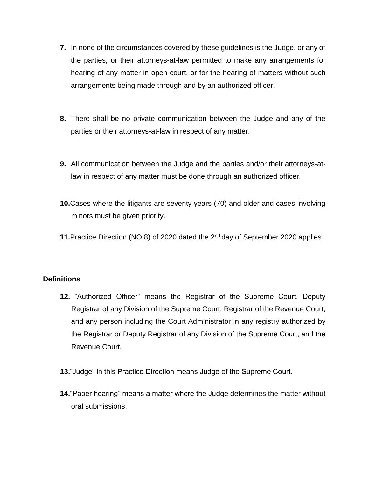- **7.** In none of the circumstances covered by these guidelines is the Judge, or any of the parties, or their attorneys-at-law permitted to make any arrangements for hearing of any matter in open court, or for the hearing of matters without such arrangements being made through and by an authorized officer.
- **8.** There shall be no private communication between the Judge and any of the parties or their attorneys-at-law in respect of any matter.
- **9.** All communication between the Judge and the parties and/or their attorneys-atlaw in respect of any matter must be done through an authorized officer.
- **10.**Cases where the litigants are seventy years (70) and older and cases involving minors must be given priority.
- **11.**Practice Direction (NO 8) of 2020 dated the 2nd day of September 2020 applies.

## **Definitions**

- **12.** "Authorized Officer" means the Registrar of the Supreme Court, Deputy Registrar of any Division of the Supreme Court, Registrar of the Revenue Court, and any person including the Court Administrator in any registry authorized by the Registrar or Deputy Registrar of any Division of the Supreme Court, and the Revenue Court.
- **13.**"Judge" in this Practice Direction means Judge of the Supreme Court.
- **14.**"Paper hearing" means a matter where the Judge determines the matter without oral submissions.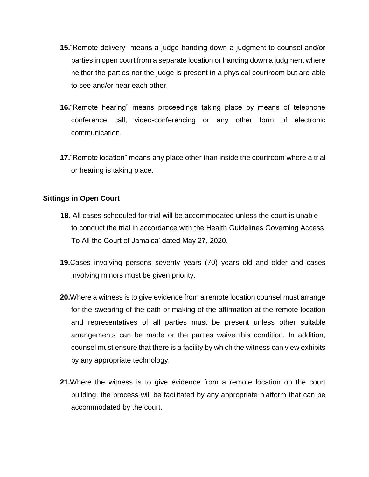- **15.**"Remote delivery" means a judge handing down a judgment to counsel and/or parties in open court from a separate location or handing down a judgment where neither the parties nor the judge is present in a physical courtroom but are able to see and/or hear each other.
- **16.**"Remote hearing" means proceedings taking place by means of telephone conference call, video-conferencing or any other form of electronic communication.
- **17.**"Remote location" means any place other than inside the courtroom where a trial or hearing is taking place.

### **Sittings in Open Court**

- **18.** All cases scheduled for trial will be accommodated unless the court is unable to conduct the trial in accordance with the Health Guidelines Governing Access To All the Court of Jamaica' dated May 27, 2020.
- **19.**Cases involving persons seventy years (70) years old and older and cases involving minors must be given priority.
- **20.**Where a witness is to give evidence from a remote location counsel must arrange for the swearing of the oath or making of the affirmation at the remote location and representatives of all parties must be present unless other suitable arrangements can be made or the parties waive this condition. In addition, counsel must ensure that there is a facility by which the witness can view exhibits by any appropriate technology.
- **21.**Where the witness is to give evidence from a remote location on the court building, the process will be facilitated by any appropriate platform that can be accommodated by the court.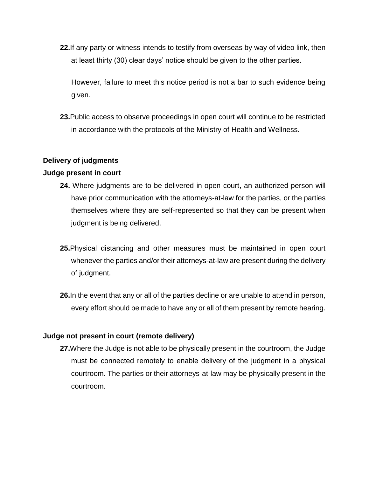**22.**If any party or witness intends to testify from overseas by way of video link, then at least thirty (30) clear days' notice should be given to the other parties.

However, failure to meet this notice period is not a bar to such evidence being given.

**23.**Public access to observe proceedings in open court will continue to be restricted in accordance with the protocols of the Ministry of Health and Wellness.

## **Delivery of judgments**

### **Judge present in court**

- **24.** Where judgments are to be delivered in open court, an authorized person will have prior communication with the attorneys-at-law for the parties, or the parties themselves where they are self-represented so that they can be present when judgment is being delivered.
- **25.**Physical distancing and other measures must be maintained in open court whenever the parties and/or their attorneys-at-law are present during the delivery of judgment.
- **26.**In the event that any or all of the parties decline or are unable to attend in person, every effort should be made to have any or all of them present by remote hearing.

#### **Judge not present in court (remote delivery)**

**27.**Where the Judge is not able to be physically present in the courtroom, the Judge must be connected remotely to enable delivery of the judgment in a physical courtroom. The parties or their attorneys-at-law may be physically present in the courtroom.